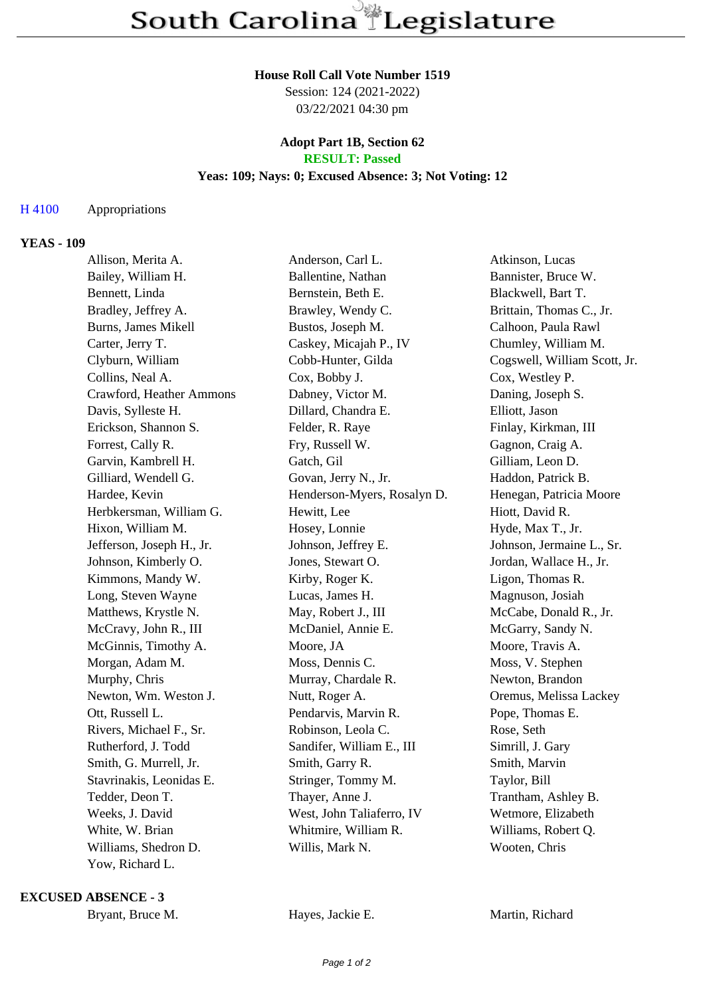#### **House Roll Call Vote Number 1519**

Session: 124 (2021-2022) 03/22/2021 04:30 pm

#### **Adopt Part 1B, Section 62 RESULT: Passed**

# **Yeas: 109; Nays: 0; Excused Absence: 3; Not Voting: 12**

## H 4100 Appropriations

### **YEAS - 109**

| Allison, Merita A.        | Anderson, Carl L.           | Atkinson, Lucas              |
|---------------------------|-----------------------------|------------------------------|
| Bailey, William H.        | Ballentine, Nathan          | Bannister, Bruce W.          |
| Bennett, Linda            | Bernstein, Beth E.          | Blackwell, Bart T.           |
| Bradley, Jeffrey A.       | Brawley, Wendy C.           | Brittain, Thomas C., Jr.     |
| Burns, James Mikell       | Bustos, Joseph M.           | Calhoon, Paula Rawl          |
| Carter, Jerry T.          | Caskey, Micajah P., IV      | Chumley, William M.          |
| Clyburn, William          | Cobb-Hunter, Gilda          | Cogswell, William Scott, Jr. |
| Collins, Neal A.          | Cox, Bobby J.               | Cox, Westley P.              |
| Crawford, Heather Ammons  | Dabney, Victor M.           | Daning, Joseph S.            |
| Davis, Sylleste H.        | Dillard, Chandra E.         | Elliott, Jason               |
| Erickson, Shannon S.      | Felder, R. Raye             | Finlay, Kirkman, III         |
| Forrest, Cally R.         | Fry, Russell W.             | Gagnon, Craig A.             |
| Garvin, Kambrell H.       | Gatch, Gil                  | Gilliam, Leon D.             |
| Gilliard, Wendell G.      | Govan, Jerry N., Jr.        | Haddon, Patrick B.           |
| Hardee, Kevin             | Henderson-Myers, Rosalyn D. | Henegan, Patricia Moore      |
| Herbkersman, William G.   | Hewitt, Lee                 | Hiott, David R.              |
| Hixon, William M.         | Hosey, Lonnie               | Hyde, Max T., Jr.            |
| Jefferson, Joseph H., Jr. | Johnson, Jeffrey E.         | Johnson, Jermaine L., Sr.    |
| Johnson, Kimberly O.      | Jones, Stewart O.           | Jordan, Wallace H., Jr.      |
| Kimmons, Mandy W.         | Kirby, Roger K.             | Ligon, Thomas R.             |
| Long, Steven Wayne        | Lucas, James H.             | Magnuson, Josiah             |
| Matthews, Krystle N.      | May, Robert J., III         | McCabe, Donald R., Jr.       |
| McCravy, John R., III     | McDaniel, Annie E.          | McGarry, Sandy N.            |
| McGinnis, Timothy A.      | Moore, JA                   | Moore, Travis A.             |
| Morgan, Adam M.           | Moss, Dennis C.             | Moss, V. Stephen             |
| Murphy, Chris             | Murray, Chardale R.         | Newton, Brandon              |
| Newton, Wm. Weston J.     | Nutt, Roger A.              | Oremus, Melissa Lackey       |
| Ott, Russell L.           | Pendarvis, Marvin R.        | Pope, Thomas E.              |
| Rivers, Michael F., Sr.   | Robinson, Leola C.          | Rose, Seth                   |
| Rutherford, J. Todd       | Sandifer, William E., III   | Simrill, J. Gary             |
| Smith, G. Murrell, Jr.    | Smith, Garry R.             | Smith, Marvin                |
| Stavrinakis, Leonidas E.  | Stringer, Tommy M.          | Taylor, Bill                 |
| Tedder, Deon T.           | Thayer, Anne J.             | Trantham, Ashley B.          |
| Weeks, J. David           | West, John Taliaferro, IV   | Wetmore, Elizabeth           |
| White, W. Brian           | Whitmire, William R.        | Williams, Robert Q.          |
| Williams, Shedron D.      | Willis, Mark N.             | Wooten, Chris                |
| Yow, Richard L.           |                             |                              |

**EXCUSED ABSENCE - 3**

Bryant, Bruce M. **Hayes, Jackie E.** Martin, Richard